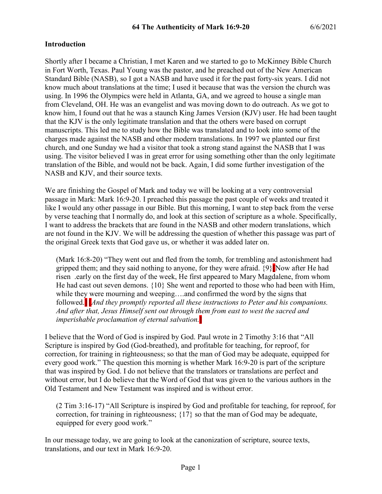#### **Introduction**

Shortly after I became a Christian, I met Karen and we started to go to McKinney Bible Church in Fort Worth, Texas. Paul Young was the pastor, and he preached out of the New American Standard Bible (NASB), so I got a NASB and have used it for the past forty-six years. I did not know much about translations at the time; I used it because that was the version the church was using. In 1996 the Olympics were held in Atlanta, GA, and we agreed to house a single man from Cleveland, OH. He was an evangelist and was moving down to do outreach. As we got to know him, I found out that he was a staunch King James Version (KJV) user. He had been taught that the KJV is the only legitimate translation and that the others were based on corrupt manuscripts. This led me to study how the Bible was translated and to look into some of the charges made against the NASB and other modern translations. In 1997 we planted our first church, and one Sunday we had a visitor that took a strong stand against the NASB that I was using. The visitor believed I was in great error for using something other than the only legitimate translation of the Bible, and would not be back. Again, I did some further investigation of the NASB and KJV, and their source texts.

We are finishing the Gospel of Mark and today we will be looking at a very controversial passage in Mark: Mark 16:9-20. I preached this passage the past couple of weeks and treated it like I would any other passage in our Bible. But this morning, I want to step back from the verse by verse teaching that I normally do, and look at this section of scripture as a whole. Specifically, I want to address the brackets that are found in the NASB and other modern translations, which are not found in the KJV. We will be addressing the question of whether this passage was part of the original Greek texts that God gave us, or whether it was added later on.

(Mark 16:8-20) "They went out and fled from the tomb, for trembling and astonishment had gripped them; and they said nothing to anyone, for they were afraid.  $\{9\}$  Now after He had risen .early on the first day of the week, He first appeared to Mary Magdalene, from whom He had cast out seven demons. {10} She went and reported to those who had been with Him, while they were mourning and weeping….and confirmed the word by the signs that followed.] [*And they promptly reported all these instructions to Peter and his companions. And after that, Jesus Himself sent out through them from east to west the sacred and imperishable proclamation of eternal salvation.*]

I believe that the Word of God is inspired by God. Paul wrote in 2 Timothy 3:16 that "All Scripture is inspired by God (God-breathed), and profitable for teaching, for reproof, for correction, for training in righteousness; so that the man of God may be adequate, equipped for every good work." The question this morning is whether Mark 16:9-20 is part of the scripture that was inspired by God. I do not believe that the translators or translations are perfect and without error, but I do believe that the Word of God that was given to the various authors in the Old Testament and New Testament was inspired and is without error.

(2 Tim 3:16-17) "All Scripture is inspired by God and profitable for teaching, for reproof, for correction, for training in righteousness; {17} so that the man of God may be adequate, equipped for every good work."

In our message today, we are going to look at the canonization of scripture, source texts, translations, and our text in Mark 16:9-20.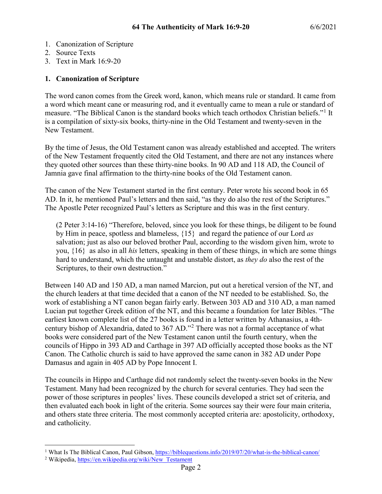- 1. Canonization of Scripture
- 2. Source Texts
- 3. Text in Mark 16:9-20

#### **1. Canonization of Scripture**

The word canon comes from the Greek word, kanon, which means rule or standard. It came from a word which meant cane or measuring rod, and it eventually came to mean a rule or standard of measure. "The Biblical Canon is the standard books which teach orthodox Christian beliefs."[1](#page-1-0) It is a compilation of sixty-six books, thirty-nine in the Old Testament and twenty-seven in the New Testament.

By the time of Jesus, the Old Testament canon was already established and accepted. The writers of the New Testament frequently cited the Old Testament, and there are not any instances where they quoted other sources than these thirty-nine books. In 90 AD and 118 AD, the Council of Jamnia gave final affirmation to the thirty-nine books of the Old Testament canon.

The canon of the New Testament started in the first century. Peter wrote his second book in 65 AD. In it, he mentioned Paul's letters and then said, "as they do also the rest of the Scriptures." The Apostle Peter recognized Paul's letters as Scripture and this was in the first century.

(2 Peter 3:14-16) "Therefore, beloved, since you look for these things, be diligent to be found by Him in peace, spotless and blameless, {15} and regard the patience of our Lord *as* salvation; just as also our beloved brother Paul, according to the wisdom given him, wrote to you, {16} as also in all *his* letters, speaking in them of these things, in which are some things hard to understand, which the untaught and unstable distort, as *they do* also the rest of the Scriptures, to their own destruction."

Between 140 AD and 150 AD, a man named Marcion, put out a heretical version of the NT, and the church leaders at that time decided that a canon of the NT needed to be established. So, the work of establishing a NT canon began fairly early. Between 303 AD and 310 AD, a man named Lucian put together Greek edition of the NT, and this became a foundation for later Bibles. "The earliest known complete list of the 27 books is found in a letter written by Athanasius, a 4thcentury bishop of Alexandria, dated to 367 AD."[2](#page-1-1) There was not a formal acceptance of what books were considered part of the New Testament canon until the fourth century, when the councils of Hippo in 393 AD and Carthage in 397 AD officially accepted those books as the NT Canon. The Catholic church is said to have approved the same canon in 382 AD under Pope Damasus and again in 405 AD by Pope Innocent I.

The councils in Hippo and Carthage did not randomly select the twenty-seven books in the New Testament. Many had been recognized by the church for several centuries. They had seen the power of those scriptures in peoples' lives. These councils developed a strict set of criteria, and then evaluated each book in light of the criteria. Some sources say their were four main criteria, and others state three criteria. The most commonly accepted criteria are: apostolicity, orthodoxy, and catholicity.

<sup>&</sup>lt;sup>1</sup> What Is The Biblical Canon, Paul Gibson,<https://biblequestions.info/2019/07/20/what-is-the-biblical-canon/>

<span id="page-1-1"></span><span id="page-1-0"></span><sup>&</sup>lt;sup>2</sup> Wikipedia, [https://en.wikipedia.org/wiki/New\\_Testament](https://en.wikipedia.org/wiki/New_Testament)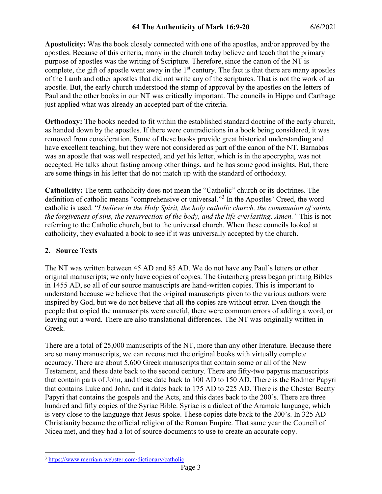**Apostolicity:** Was the book closely connected with one of the apostles, and/or approved by the apostles. Because of this criteria, many in the church today believe and teach that the primary purpose of apostles was the writing of Scripture. Therefore, since the canon of the NT is complete, the gift of apostle went away in the  $1<sup>st</sup>$  century. The fact is that there are many apostles of the Lamb and other apostles that did not write any of the scriptures. That is not the work of an apostle. But, the early church understood the stamp of approval by the apostles on the letters of Paul and the other books in our NT was critically important. The councils in Hippo and Carthage just applied what was already an accepted part of the criteria.

**Orthodoxy:** The books needed to fit within the established standard doctrine of the early church, as handed down by the apostles. If there were contradictions in a book being considered, it was removed from consideration. Some of these books provide great historical understanding and have excellent teaching, but they were not considered as part of the canon of the NT. Barnabas was an apostle that was well respected, and yet his letter, which is in the apocrypha, was not accepted. He talks about fasting among other things, and he has some good insights. But, there are some things in his letter that do not match up with the standard of orthodoxy.

**Catholicity:** The term catholicity does not mean the "Catholic" church or its doctrines. The definition of catholic means "comprehensive or universal."[3](#page-2-0) In the Apostles' Creed, the word catholic is used. "*I believe in the Holy Spirit, the holy catholic church, the communion of saints, the forgiveness of sins, the resurrection of the body, and the life everlasting. Amen."* This is not referring to the Catholic church, but to the universal church. When these councils looked at catholicity, they evaluated a book to see if it was universally accepted by the church.

## **2. Source Texts**

The NT was written between 45 AD and 85 AD. We do not have any Paul's letters or other original manuscripts; we only have copies of copies. The Gutenberg press began printing Bibles in 1455 AD, so all of our source manuscripts are hand-written copies. This is important to understand because we believe that the original manuscripts given to the various authors were inspired by God, but we do not believe that all the copies are without error. Even though the people that copied the manuscripts were careful, there were common errors of adding a word, or leaving out a word. There are also translational differences. The NT was originally written in Greek.

There are a total of 25,000 manuscripts of the NT, more than any other literature. Because there are so many manuscripts, we can reconstruct the original books with virtually complete accuracy. There are about 5,600 Greek manuscripts that contain some or all of the New Testament, and these date back to the second century. There are fifty-two papyrus manuscripts that contain parts of John, and these date back to 100 AD to 150 AD. There is the Bodmer Papyri that contains Luke and John, and it dates back to 175 AD to 225 AD. There is the Chester Beatty Papyri that contains the gospels and the Acts, and this dates back to the 200's. There are three hundred and fifty copies of the Syriac Bible. Syriac is a dialect of the Aramaic language, which is very close to the language that Jesus spoke. These copies date back to the 200's. In 325 AD Christianity became the official religion of the Roman Empire. That same year the Council of Nicea met, and they had a lot of source documents to use to create an accurate copy.

<span id="page-2-0"></span> <sup>3</sup> <https://www.merriam-webster.com/dictionary/catholic>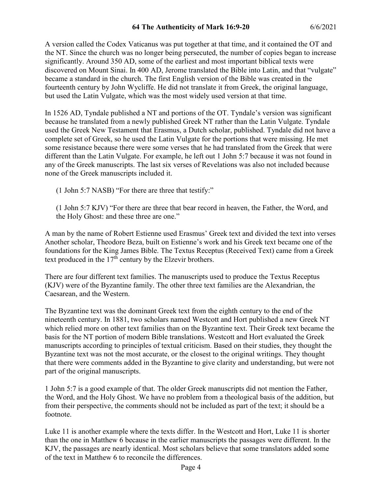A version called the Codex Vaticanus was put together at that time, and it contained the OT and the NT. Since the church was no longer being persecuted, the number of copies began to increase significantly. Around 350 AD, some of the earliest and most important biblical texts were discovered on Mount Sinai. In 400 AD, Jerome translated the Bible into Latin, and that "vulgate" became a standard in the church. The first English version of the Bible was created in the fourteenth century by John Wycliffe. He did not translate it from Greek, the original language, but used the Latin Vulgate, which was the most widely used version at that time.

In 1526 AD, Tyndale published a NT and portions of the OT. Tyndale's version was significant because he translated from a newly published Greek NT rather than the Latin Vulgate. Tyndale used the Greek New Testament that Erasmus, a Dutch scholar, published. Tyndale did not have a complete set of Greek, so he used the Latin Vulgate for the portions that were missing. He met some resistance because there were some verses that he had translated from the Greek that were different than the Latin Vulgate. For example, he left out 1 John 5:7 because it was not found in any of the Greek manuscripts. The last six verses of Revelations was also not included because none of the Greek manuscripts included it.

(1 John 5:7 NASB) "For there are three that testify:"

(1 John 5:7 KJV) "For there are three that bear record in heaven, the Father, the Word, and the Holy Ghost: and these three are one."

A man by the name of Robert Estienne used Erasmus' Greek text and divided the text into verses Another scholar, Theodore Beza, built on Estienne's work and his Greek text became one of the foundations for the King James Bible. The Textus Receptus (Received Text) came from a Greek text produced in the  $17<sup>th</sup>$  century by the Elzevir brothers.

There are four different text families. The manuscripts used to produce the Textus Receptus (KJV) were of the Byzantine family. The other three text families are the Alexandrian, the Caesarean, and the Western.

The Byzantine text was the dominant Greek text from the eighth century to the end of the nineteenth century. In 1881, two scholars named Westcott and Hort published a new Greek NT which relied more on other text families than on the Byzantine text. Their Greek text became the basis for the NT portion of modern Bible translations. Westcott and Hort evaluated the Greek manuscripts according to principles of textual criticism. Based on their studies, they thought the Byzantine text was not the most accurate, or the closest to the original writings. They thought that there were comments added in the Byzantine to give clarity and understanding, but were not part of the original manuscripts.

1 John 5:7 is a good example of that. The older Greek manuscripts did not mention the Father, the Word, and the Holy Ghost. We have no problem from a theological basis of the addition, but from their perspective, the comments should not be included as part of the text; it should be a footnote.

Luke 11 is another example where the texts differ. In the Westcott and Hort, Luke 11 is shorter than the one in Matthew 6 because in the earlier manuscripts the passages were different. In the KJV, the passages are nearly identical. Most scholars believe that some translators added some of the text in Matthew 6 to reconcile the differences.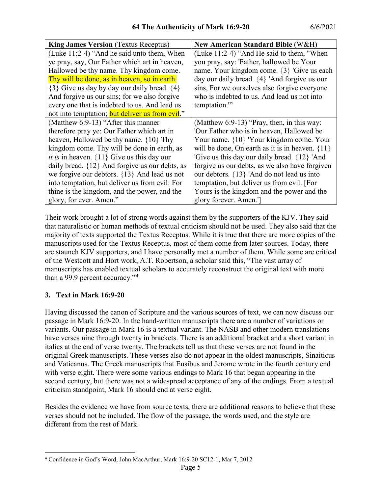| <b>King James Version</b> (Textus Receptus)           | <b>New American Standard Bible (W&amp;H)</b>        |
|-------------------------------------------------------|-----------------------------------------------------|
| (Luke 11:2-4) "And he said unto them, When            | (Luke 11:2-4) "And He said to them, "When           |
| ye pray, say, Our Father which art in heaven,         | you pray, say: 'Father, hallowed be Your            |
| Hallowed be thy name. Thy kingdom come.               | name. Your kingdom come. {3} 'Give us each          |
| Thy will be done, as in heaven, so in earth.          | day our daily bread. {4} 'And forgive us our        |
| $\{3\}$ Give us day by day our daily bread. $\{4\}$   | sins, For we ourselves also forgive everyone        |
| And forgive us our sins; for we also forgive          | who is indebted to us. And lead us not into         |
| every one that is indebted to us. And lead us         | temptation."                                        |
| not into temptation; but deliver us from evil."       |                                                     |
| (Matthew 6:9-13) "After this manner                   | (Matthew $6:9-13$ ) "Pray, then, in this way:       |
| therefore pray ye: Our Father which art in            | 'Our Father who is in heaven, Hallowed be           |
| heaven, Hallowed be thy name. $\{10\}$ Thy            | Your name. {10} 'Your kingdom come. Your            |
| kingdom come. Thy will be done in earth, as           | will be done, On earth as it is in heaven. $\{11\}$ |
| <i>it is</i> in heaven. $\{11\}$ Give us this day our | 'Give us this day our daily bread. {12} 'And        |
| daily bread. ${12}$ And forgive us our debts, as      | forgive us our debts, as we also have forgiven      |
| we forgive our debtors. {13} And lead us not          | our debtors. {13} 'And do not lead us into          |
| into temptation, but deliver us from evil: For        | temptation, but deliver us from evil. [For          |
| thine is the kingdom, and the power, and the          | Yours is the kingdom and the power and the          |
| glory, for ever. Amen."                               | glory forever. Amen.']                              |

Their work brought a lot of strong words against them by the supporters of the KJV. They said that naturalistic or human methods of textual criticism should not be used. They also said that the majority of texts supported the Textus Receptus. While it is true that there are more copies of the manuscripts used for the Textus Receptus, most of them come from later sources. Today, there are staunch KJV supporters, and I have personally met a number of them. While some are critical of the Westcott and Hort work, A.T. Robertson, a scholar said this, "The vast array of manuscripts has enabled textual scholars to accurately reconstruct the original text with more than a 99.9 percent accuracy."[4](#page-4-0)

## **3. Text in Mark 16:9-20**

Having discussed the canon of Scripture and the various sources of text, we can now discuss our passage in Mark 16:9-20. In the hand-written manuscripts there are a number of variations or variants. Our passage in Mark 16 is a textual variant. The NASB and other modern translations have verses nine through twenty in brackets. There is an additional bracket and a short variant in italics at the end of verse twenty. The brackets tell us that these verses are not found in the original Greek manuscripts. These verses also do not appear in the oldest manuscripts, Sinaiticus and Vaticanus. The Greek manuscripts that Eusibus and Jerome wrote in the fourth century end with verse eight. There were some various endings to Mark 16 that began appearing in the second century, but there was not a widespread acceptance of any of the endings. From a textual criticism standpoint, Mark 16 should end at verse eight.

Besides the evidence we have from source texts, there are additional reasons to believe that these verses should not be included. The flow of the passage, the words used, and the style are different from the rest of Mark.

<span id="page-4-0"></span> <sup>4</sup> Confidence in God's Word, John MacArthur, Mark 16:9-20 SC12-1, Mar 7, 2012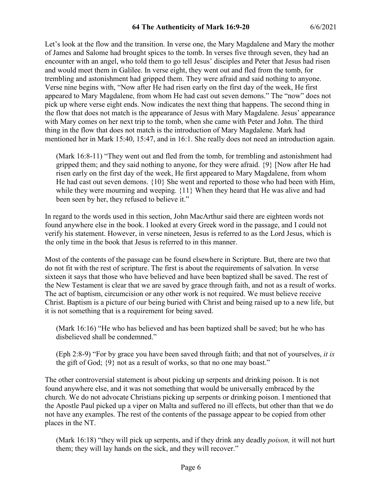Let's look at the flow and the transition. In verse one, the Mary Magdalene and Mary the mother of James and Salome had brought spices to the tomb. In verses five through seven, they had an encounter with an angel, who told them to go tell Jesus' disciples and Peter that Jesus had risen and would meet them in Galilee. In verse eight, they went out and fled from the tomb, for trembling and astonishment had gripped them. They were afraid and said nothing to anyone. Verse nine begins with, "Now after He had risen early on the first day of the week, He first appeared to Mary Magdalene, from whom He had cast out seven demons." The "now" does not pick up where verse eight ends. Now indicates the next thing that happens. The second thing in the flow that does not match is the appearance of Jesus with Mary Magdalene. Jesus' appearance with Mary comes on her next trip to the tomb, when she came with Peter and John. The third thing in the flow that does not match is the introduction of Mary Magdalene. Mark had mentioned her in Mark 15:40, 15:47, and in 16:1. She really does not need an introduction again.

(Mark 16:8-11) "They went out and fled from the tomb, for trembling and astonishment had gripped them; and they said nothing to anyone, for they were afraid. {9} [Now after He had risen early on the first day of the week, He first appeared to Mary Magdalene, from whom He had cast out seven demons. {10} She went and reported to those who had been with Him, while they were mourning and weeping. {11} When they heard that He was alive and had been seen by her, they refused to believe it."

In regard to the words used in this section, John MacArthur said there are eighteen words not found anywhere else in the book. I looked at every Greek word in the passage, and I could not verify his statement. However, in verse nineteen, Jesus is referred to as the Lord Jesus, which is the only time in the book that Jesus is referred to in this manner.

Most of the contents of the passage can be found elsewhere in Scripture. But, there are two that do not fit with the rest of scripture. The first is about the requirements of salvation. In verse sixteen it says that those who have believed and have been baptized shall be saved. The rest of the New Testament is clear that we are saved by grace through faith, and not as a result of works. The act of baptism, circumcision or any other work is not required. We must believe receive Christ. Baptism is a picture of our being buried with Christ and being raised up to a new life, but it is not something that is a requirement for being saved.

(Mark 16:16) "He who has believed and has been baptized shall be saved; but he who has disbelieved shall be condemned."

(Eph 2:8-9) "For by grace you have been saved through faith; and that not of yourselves, *it is* the gift of God; {9} not as a result of works, so that no one may boast."

The other controversial statement is about picking up serpents and drinking poison. It is not found anywhere else, and it was not something that would be universally embraced by the church. We do not advocate Christians picking up serpents or drinking poison. I mentioned that the Apostle Paul picked up a viper on Malta and suffered no ill effects, but other than that we do not have any examples. The rest of the contents of the passage appear to be copied from other places in the NT.

(Mark 16:18) "they will pick up serpents, and if they drink any deadly *poison,* it will not hurt them; they will lay hands on the sick, and they will recover."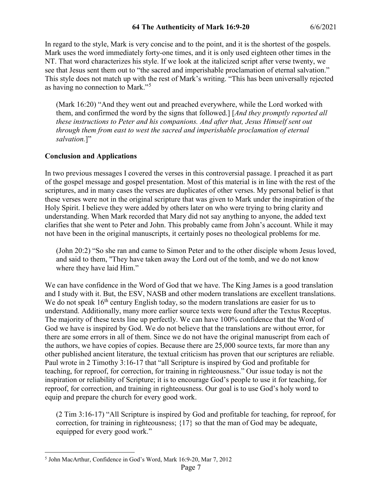In regard to the style, Mark is very concise and to the point, and it is the shortest of the gospels. Mark uses the word immediately forty-one times, and it is only used eighteen other times in the NT. That word characterizes his style. If we look at the italicized script after verse twenty, we see that Jesus sent them out to "the sacred and imperishable proclamation of eternal salvation." This style does not match up with the rest of Mark's writing. "This has been universally rejected as having no connection to Mark."[5](#page-6-0)

(Mark 16:20) "And they went out and preached everywhere, while the Lord worked with them, and confirmed the word by the signs that followed.] [*And they promptly reported all these instructions to Peter and his companions. And after that, Jesus Himself sent out through them from east to west the sacred and imperishable proclamation of eternal*  salvation.]"

# **Conclusion and Applications**

In two previous messages I covered the verses in this controversial passage. I preached it as part of the gospel message and gospel presentation. Most of this material is in line with the rest of the scriptures, and in many cases the verses are duplicates of other verses. My personal belief is that these verses were not in the original scripture that was given to Mark under the inspiration of the Holy Spirit. I believe they were added by others later on who were trying to bring clarity and understanding. When Mark recorded that Mary did not say anything to anyone, the added text clarifies that she went to Peter and John. This probably came from John's account. While it may not have been in the original manuscripts, it certainly poses no theological problems for me.

(John 20:2) "So she ran and came to Simon Peter and to the other disciple whom Jesus loved, and said to them, "They have taken away the Lord out of the tomb, and we do not know where they have laid Him."

We can have confidence in the Word of God that we have. The King James is a good translation and I study with it. But, the ESV, NASB and other modern translations are excellent translations. We do not speak  $16<sup>th</sup>$  century English today, so the modern translations are easier for us to understand. Additionally, many more earlier source texts were found after the Textus Receptus. The majority of these texts line up perfectly. We can have 100% confidence that the Word of God we have is inspired by God. We do not believe that the translations are without error, for there are some errors in all of them. Since we do not have the original manuscript from each of the authors, we have copies of copies. Because there are 25,000 source texts, far more than any other published ancient literature, the textual criticism has proven that our scriptures are reliable. Paul wrote in 2 Timothy 3:16-17 that "all Scripture is inspired by God and profitable for teaching, for reproof, for correction, for training in righteousness." Our issue today is not the inspiration or reliability of Scripture; it is to encourage God's people to use it for teaching, for reproof, for correction, and training in righteousness. Our goal is to use God's holy word to equip and prepare the church for every good work.

(2 Tim 3:16-17) "All Scripture is inspired by God and profitable for teaching, for reproof, for correction, for training in righteousness; {17} so that the man of God may be adequate, equipped for every good work."

<span id="page-6-0"></span> <sup>5</sup> John MacArthur, Confidence in God's Word, Mark 16:9-20, Mar 7, 2012